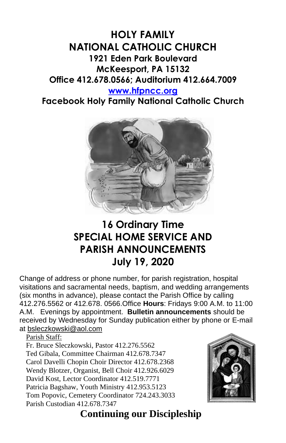### **HOLY FAMILY NATIONAL CATHOLIC CHURCH 1921 Eden Park Boulevard McKeesport, PA 15132 Office 412.678.0566; Auditorium 412.664.7009 [www.hfpncc.org](http://www.hfpncc.org/)**

# **Facebook Holy Family National Catholic Church**



## **16 Ordinary Time SPECIAL HOME SERVICE AND PARISH ANNOUNCEMENTS July 19, 2020**

Change of address or phone number, for parish registration, hospital visitations and sacramental needs, baptism, and wedding arrangements (six months in advance), please contact the Parish Office by calling 412.276.5562 or 412.678. 0566.Office **Hours**: Fridays 9:00 A.M. to 11:00 A.M. Evenings by appointment. **Bulletin announcements** should be received by Wednesday for Sunday publication either by phone or E-mail at [bsleczkowski@aol.com](mailto:bsleczkowski@aol.com)

Parish Staff:

Fr. Bruce Sleczkowski, Pastor 412.276.5562 Ted Gibala, Committee Chairman 412.678.7347 Carol Davelli Chopin Choir Director 412.678.2368 Wendy Blotzer, Organist, Bell Choir 412.926.6029 David Kost, Lector Coordinator 412.519.7771 Patricia Bagshaw, Youth Ministry 412.953.5123 Tom Popovic, Cemetery Coordinator 724.243.3033 Parish Custodian 412.678.7347



## **Continuing our Discipleship**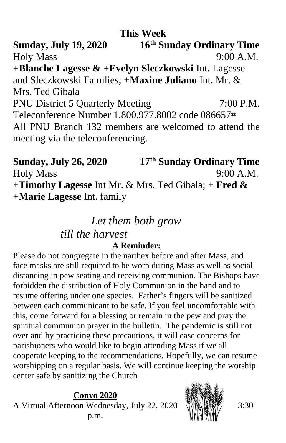### **This Week**

**Sunday, July 19, 2020 th Sunday Ordinary Time** Holy Mass 9:00 A.M. **+Blanche Lagesse & +Evelyn Sleczkowski** Int**.** Lagesse and Sleczkowski Families; **+Maxine Juliano** Int. Mr. & Mrs. Ted Gibala PNU District 5 Quarterly Meeting 7:00 P.M. Teleconference Number 1.800.977.8002 code 086657# All PNU Branch 132 members are welcomed to attend the meeting via the teleconferencing.

**Sunday, July 26, 2020 17 th Sunday Ordinary Time** Holy Mass 9:00 A.M. **+Timothy Lagesse** Int Mr. & Mrs. Ted Gibala; **+ Fred & +Marie Lagesse** Int. family

#### *Let them both grow*

#### *till the harvest*

#### **A Reminder:**

Please do not congregate in the narthex before and after Mass, and face masks are still required to be worn during Mass as well as social distancing in pew seating and receiving communion. The Bishops have forbidden the distribution of Holy Communion in the hand and to resume offering under one species. Father's fingers will be sanitized between each communicant to be safe. If you feel uncomfortable with this, come forward for a blessing or remain in the pew and pray the spiritual communion prayer in the bulletin. The pandemic is still not over and by practicing these precautions, it will ease concerns for parishioners who would like to begin attending Mass if we all cooperate keeping to the recommendations. Hopefully, we can resume worshipping on a regular basis. We will continue keeping the worship center safe by sanitizing the Church

**Convo 2020** A Virtual Afternoon Wednesday, July 22, 2020 p.m.